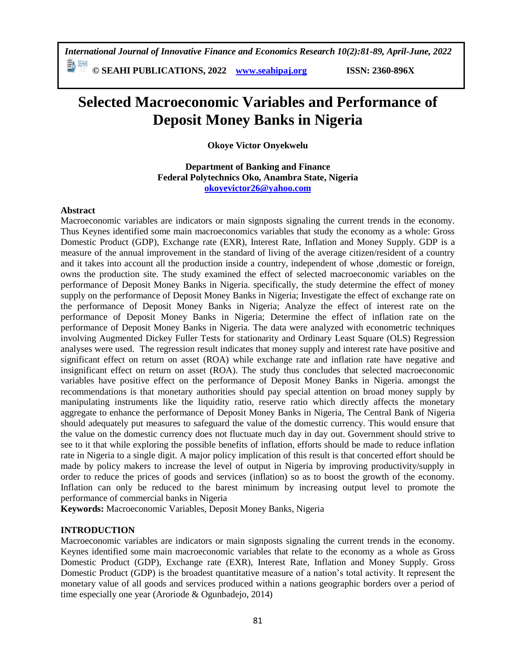**© SEAHI PUBLICATIONS, 2022 [www.seahipaj.org](http://www.seahipaj.org/) ISSN: 2360-896X**

# **Selected Macroeconomic Variables and Performance of Deposit Money Banks in Nigeria**

**Okoye Victor Onyekwelu** 

**Department of Banking and Finance Federal Polytechnics Oko, Anambra State, Nigeria [okoyevictor26@yahoo.com](mailto:okoyevictor26@yahoo.com)**

# **Abstract**

Macroeconomic variables are indicators or main signposts signaling the current trends in the economy. Thus Keynes identified some main macroeconomics variables that study the economy as a whole: Gross Domestic Product (GDP), Exchange rate (EXR), Interest Rate, Inflation and Money Supply. GDP is a measure of the annual improvement in the standard of living of the average citizen/resident of a country and it takes into account all the production inside a country, independent of whose ,domestic or foreign, owns the production site. The study examined the effect of selected macroeconomic variables on the performance of Deposit Money Banks in Nigeria. specifically, the study determine the effect of money supply on the performance of Deposit Money Banks in Nigeria; Investigate the effect of exchange rate on the performance of Deposit Money Banks in Nigeria; Analyze the effect of interest rate on the performance of Deposit Money Banks in Nigeria; Determine the effect of inflation rate on the performance of Deposit Money Banks in Nigeria. The data were analyzed with econometric techniques involving Augmented Dickey Fuller Tests for stationarity and Ordinary Least Square (OLS) Regression analyses were used. The regression result indicates that money supply and interest rate have positive and significant effect on return on asset (ROA) while exchange rate and inflation rate have negative and insignificant effect on return on asset (ROA). The study thus concludes that selected macroeconomic variables have positive effect on the performance of Deposit Money Banks in Nigeria. amongst the recommendations is that monetary authorities should pay special attention on broad money supply by manipulating instruments like the liquidity ratio, reserve ratio which directly affects the monetary aggregate to enhance the performance of Deposit Money Banks in Nigeria, The Central Bank of Nigeria should adequately put measures to safeguard the value of the domestic currency. This would ensure that the value on the domestic currency does not fluctuate much day in day out. Government should strive to see to it that while exploring the possible benefits of inflation, efforts should be made to reduce inflation rate in Nigeria to a single digit. A major policy implication of this result is that concerted effort should be made by policy makers to increase the level of output in Nigeria by improving productivity/supply in order to reduce the prices of goods and services (inflation) so as to boost the growth of the economy. Inflation can only be reduced to the barest minimum by increasing output level to promote the performance of commercial banks in Nigeria

**Keywords:** Macroeconomic Variables, Deposit Money Banks, Nigeria

# **INTRODUCTION**

Macroeconomic variables are indicators or main signposts signaling the current trends in the economy. Keynes identified some main macroeconomic variables that relate to the economy as a whole as Gross Domestic Product (GDP), Exchange rate (EXR), Interest Rate, Inflation and Money Supply. Gross Domestic Product (GDP) is the broadest quantitative measure of a nation's total activity. It represent the monetary value of all goods and services produced within a nations geographic borders over a period of time especially one year (Aroriode & Ogunbadejo, 2014)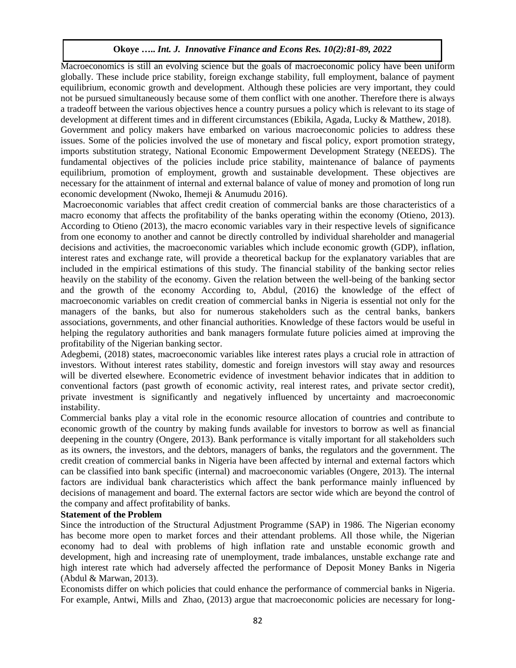Macroeconomics is still an evolving science but the goals of macroeconomic policy have been uniform globally. These include price stability, foreign exchange stability, full employment, balance of payment equilibrium, economic growth and development. Although these policies are very important, they could not be pursued simultaneously because some of them conflict with one another. Therefore there is always a tradeoff between the various objectives hence a country pursues a policy which is relevant to its stage of development at different times and in different circumstances (Ebikila, Agada, Lucky & Matthew, 2018).

Government and policy makers have embarked on various macroeconomic policies to address these issues. Some of the policies involved the use of monetary and fiscal policy, export promotion strategy, imports substitution strategy, National Economic Empowerment Development Strategy (NEEDS). The fundamental objectives of the policies include price stability, maintenance of balance of payments equilibrium, promotion of employment, growth and sustainable development. These objectives are necessary for the attainment of internal and external balance of value of money and promotion of long run economic development (Nwoko, Ihemeji & Anumudu 2016).

Macroeconomic variables that affect credit creation of commercial banks are those characteristics of a macro economy that affects the profitability of the banks operating within the economy (Otieno, 2013). According to Otieno (2013), the macro economic variables vary in their respective levels of significance from one economy to another and cannot be directly controlled by individual shareholder and managerial decisions and activities, the macroeconomic variables which include economic growth (GDP), inflation, interest rates and exchange rate, will provide a theoretical backup for the explanatory variables that are included in the empirical estimations of this study. The financial stability of the banking sector relies heavily on the stability of the economy. Given the relation between the well-being of the banking sector and the growth of the economy According to, Abdul, (2016) the knowledge of the effect of macroeconomic variables on credit creation of commercial banks in Nigeria is essential not only for the managers of the banks, but also for numerous stakeholders such as the central banks, bankers associations, governments, and other financial authorities. Knowledge of these factors would be useful in helping the regulatory authorities and bank managers formulate future policies aimed at improving the profitability of the Nigerian banking sector.

Adegbemi, (2018) states, macroeconomic variables like interest rates plays a crucial role in attraction of investors. Without interest rates stability, domestic and foreign investors will stay away and resources will be diverted elsewhere. Econometric evidence of investment behavior indicates that in addition to conventional factors (past growth of economic activity, real interest rates, and private sector credit), private investment is significantly and negatively influenced by uncertainty and macroeconomic instability.

Commercial banks play a vital role in the economic resource allocation of countries and contribute to economic growth of the country by making funds available for investors to borrow as well as financial deepening in the country (Ongere, 2013). Bank performance is vitally important for all stakeholders such as its owners, the investors, and the debtors, managers of banks, the regulators and the government. The credit creation of commercial banks in Nigeria have been affected by internal and external factors which can be classified into bank specific (internal) and macroeconomic variables (Ongere, 2013). The internal factors are individual bank characteristics which affect the bank performance mainly influenced by decisions of management and board. The external factors are sector wide which are beyond the control of the company and affect profitability of banks.

# **Statement of the Problem**

Since the introduction of the Structural Adjustment Programme (SAP) in 1986. The Nigerian economy has become more open to market forces and their attendant problems. All those while, the Nigerian economy had to deal with problems of high inflation rate and unstable economic growth and development, high and increasing rate of unemployment, trade imbalances, unstable exchange rate and high interest rate which had adversely affected the performance of Deposit Money Banks in Nigeria (Abdul & Marwan, 2013).

Economists differ on which policies that could enhance the performance of commercial banks in Nigeria. For example, Antwi, Mills and Zhao, (2013) argue that macroeconomic policies are necessary for long-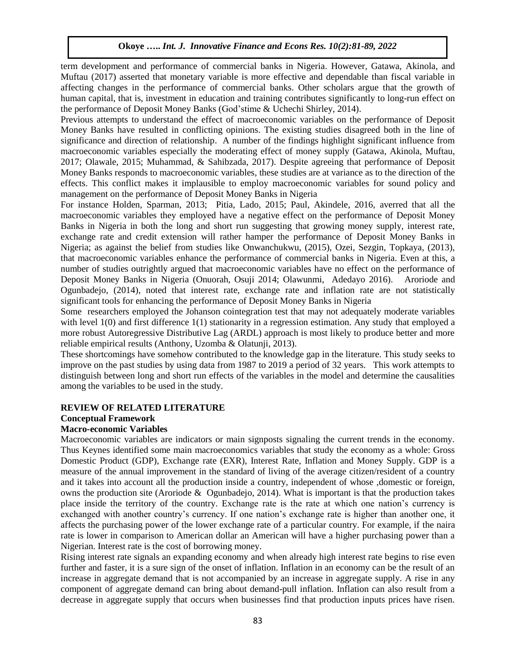term development and performance of commercial banks in Nigeria. However, Gatawa, Akinola, and Muftau (2017) asserted that monetary variable is more effective and dependable than fiscal variable in affecting changes in the performance of commercial banks. Other scholars argue that the growth of human capital, that is, investment in education and training contributes significantly to long-run effect on the performance of Deposit Money Banks (God'stime & Uchechi Shirley, 2014).

Previous attempts to understand the effect of macroeconomic variables on the performance of Deposit Money Banks have resulted in conflicting opinions. The existing studies disagreed both in the line of significance and direction of relationship. A number of the findings highlight significant influence from macroeconomic variables especially the moderating effect of money supply (Gatawa, Akinola, Muftau, 2017; Olawale, 2015; Muhammad, & Sahibzada, 2017). Despite agreeing that performance of Deposit Money Banks responds to macroeconomic variables, these studies are at variance as to the direction of the effects. This conflict makes it implausible to employ macroeconomic variables for sound policy and management on the performance of Deposit Money Banks in Nigeria

For instance Holden, Sparman, 2013; Pitia, Lado, 2015; Paul, Akindele, 2016, averred that all the macroeconomic variables they employed have a negative effect on the performance of Deposit Money Banks in Nigeria in both the long and short run suggesting that growing money supply, interest rate, exchange rate and credit extension will rather hamper the performance of Deposit Money Banks in Nigeria; as against the belief from studies like Onwanchukwu, (2015), Ozei, Sezgin, Topkaya, (2013), that macroeconomic variables enhance the performance of commercial banks in Nigeria. Even at this, a number of studies outrightly argued that macroeconomic variables have no effect on the performance of Deposit Money Banks in Nigeria (Onuorah, Osuji 2014; Olawunmi, Adedayo 2016). Aroriode and Ogunbadejo, (2014), noted that interest rate, exchange rate and inflation rate are not statistically significant tools for enhancing the performance of Deposit Money Banks in Nigeria

Some researchers employed the Johanson cointegration test that may not adequately moderate variables with level 1(0) and first difference 1(1) stationarity in a regression estimation. Any study that employed a more robust Autoregressive Distributive Lag (ARDL) approach is most likely to produce better and more reliable empirical results (Anthony, Uzomba & Olatunji, 2013).

These shortcomings have somehow contributed to the knowledge gap in the literature. This study seeks to improve on the past studies by using data from 1987 to 2019 a period of 32 years. This work attempts to distinguish between long and short run effects of the variables in the model and determine the causalities among the variables to be used in the study.

#### **REVIEW OF RELATED LITERATURE Conceptual Framework**

#### **Macro-economic Variables**

Macroeconomic variables are indicators or main signposts signaling the current trends in the economy. Thus Keynes identified some main macroeconomics variables that study the economy as a whole: Gross Domestic Product (GDP), Exchange rate (EXR), Interest Rate, Inflation and Money Supply. GDP is a measure of the annual improvement in the standard of living of the average citizen/resident of a country and it takes into account all the production inside a country, independent of whose ,domestic or foreign, owns the production site (Aroriode & Ogunbadejo, 2014). What is important is that the production takes place inside the territory of the country. Exchange rate is the rate at which one nation's currency is exchanged with another country's currency. If one nation's exchange rate is higher than another one, it affects the purchasing power of the lower exchange rate of a particular country. For example, if the naira rate is lower in comparison to American dollar an American will have a higher purchasing power than a Nigerian. Interest rate is the cost of borrowing money.

Rising interest rate signals an expanding economy and when already high interest rate begins to rise even further and faster, it is a sure sign of the onset of inflation. Inflation in an economy can be the result of an increase in aggregate demand that is not accompanied by an increase in aggregate supply. A rise in any component of aggregate demand can bring about demand-pull inflation. Inflation can also result from a decrease in aggregate supply that occurs when businesses find that production inputs prices have risen.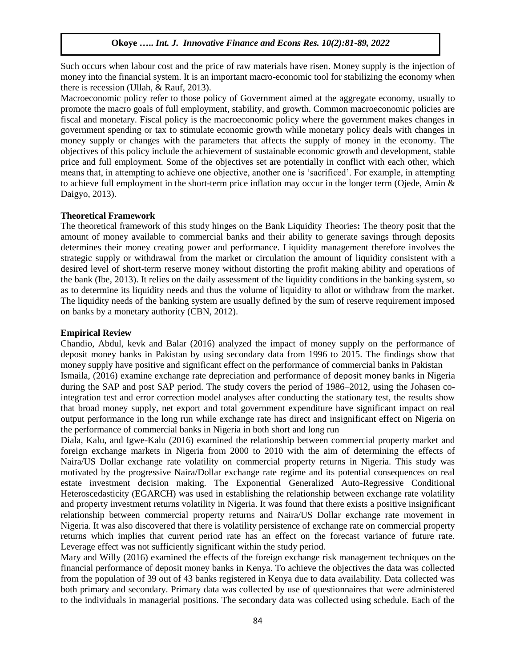Such occurs when labour cost and the price of raw materials have risen. Money supply is the injection of money into the financial system. It is an important macro-economic tool for stabilizing the economy when there is recession (Ullah, & Rauf, 2013).

Macroeconomic policy refer to those policy of Government aimed at the aggregate economy, usually to promote the macro goals of full employment, stability, and growth. Common macroeconomic policies are fiscal and monetary. Fiscal policy is the macroeconomic policy where the government makes changes in government spending or tax to stimulate economic growth while monetary policy deals with changes in money supply or changes with the parameters that affects the supply of money in the economy. The objectives of this policy include the achievement of sustainable economic growth and development, stable price and full employment. Some of the objectives set are potentially in conflict with each other, which means that, in attempting to achieve one objective, another one is 'sacrificed'. For example, in attempting to achieve full employment in the short-term price inflation may occur in the longer term (Ojede, Amin & Daigyo, 2013).

## **Theoretical Framework**

The theoretical framework of this study hinges on the Bank Liquidity Theories**:** The theory posit that the amount of money available to commercial banks and their ability to generate savings through deposits determines their money creating power and performance. Liquidity management therefore involves the strategic supply or withdrawal from the market or circulation the amount of liquidity consistent with a desired level of short-term reserve money without distorting the profit making ability and operations of the bank (Ibe, 2013). It relies on the daily assessment of the liquidity conditions in the banking system, so as to determine its liquidity needs and thus the volume of liquidity to allot or withdraw from the market. The liquidity needs of the banking system are usually defined by the sum of reserve requirement imposed on banks by a monetary authority (CBN, 2012).

#### **Empirical Review**

Chandio, Abdul, kevk and Balar (2016) analyzed the impact of money supply on the performance of deposit money banks in Pakistan by using secondary data from 1996 to 2015. The findings show that money supply have positive and significant effect on the performance of commercial banks in Pakistan Ismaila, (2016) examine exchange rate depreciation and performance of deposit money banks in Nigeria during the SAP and post SAP period. The study covers the period of 1986–2012, using the Johasen cointegration test and error correction model analyses after conducting the stationary test, the results show that broad money supply, net export and total government expenditure have significant impact on real output performance in the long run while exchange rate has direct and insignificant effect on Nigeria on the performance of commercial banks in Nigeria in both short and long run

Diala, Kalu, and Igwe-Kalu (2016) examined the relationship between commercial property market and foreign exchange markets in Nigeria from 2000 to 2010 with the aim of determining the effects of Naira/US Dollar exchange rate volatility on commercial property returns in Nigeria. This study was motivated by the progressive Naira/Dollar exchange rate regime and its potential consequences on real estate investment decision making. The Exponential Generalized Auto-Regressive Conditional Heteroscedasticity (EGARCH) was used in establishing the relationship between exchange rate volatility and property investment returns volatility in Nigeria. It was found that there exists a positive insignificant relationship between commercial property returns and Naira/US Dollar exchange rate movement in Nigeria. It was also discovered that there is volatility persistence of exchange rate on commercial property returns which implies that current period rate has an effect on the forecast variance of future rate. Leverage effect was not sufficiently significant within the study period.

Mary and Willy (2016) examined the effects of the foreign exchange risk management techniques on the financial performance of deposit money banks in Kenya. To achieve the objectives the data was collected from the population of 39 out of 43 banks registered in Kenya due to data availability. Data collected was both primary and secondary. Primary data was collected by use of questionnaires that were administered to the individuals in managerial positions. The secondary data was collected using schedule. Each of the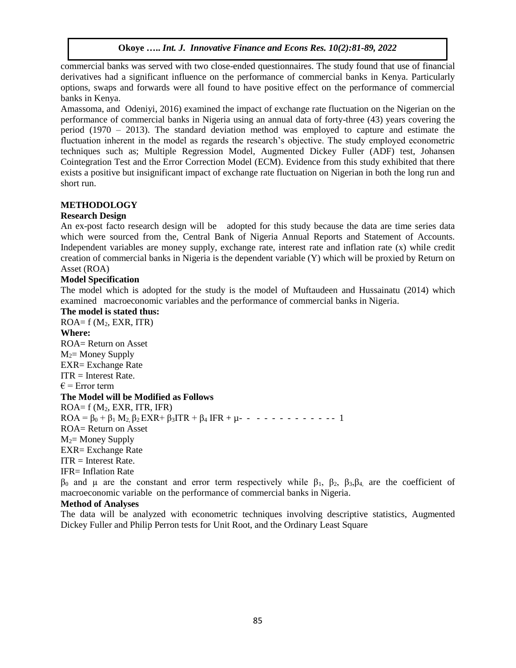commercial banks was served with two close-ended questionnaires. The study found that use of financial derivatives had a significant influence on the performance of commercial banks in Kenya. Particularly options, swaps and forwards were all found to have positive effect on the performance of commercial banks in Kenya.

Amassoma, and Odeniyi, 2016) examined the impact of exchange rate fluctuation on the Nigerian on the performance of commercial banks in Nigeria using an annual data of forty-three (43) years covering the period (1970 – 2013). The standard deviation method was employed to capture and estimate the fluctuation inherent in the model as regards the research's objective. The study employed econometric techniques such as; Multiple Regression Model, Augmented Dickey Fuller (ADF) test, Johansen Cointegration Test and the Error Correction Model (ECM). Evidence from this study exhibited that there exists a positive but insignificant impact of exchange rate fluctuation on Nigerian in both the long run and short run.

# **METHODOLOGY**

# **Research Design**

An ex-post facto research design will be adopted for this study because the data are time series data which were sourced from the, Central Bank of Nigeria Annual Reports and Statement of Accounts. Independent variables are money supply, exchange rate, interest rate and inflation rate (x) while credit creation of commercial banks in Nigeria is the dependent variable (Y) which will be proxied by Return on Asset (ROA)

# **Model Specification**

The model which is adopted for the study is the model of Muftaudeen and Hussainatu (2014) which examined macroeconomic variables and the performance of commercial banks in Nigeria.

# **The model is stated thus:**

 $ROA = f (M<sub>2</sub>, EXR, ITR)$ **Where:** ROA= Return on Asset  $M_2$ = Money Supply EXR= Exchange Rate  $ITR = Interest Rate.$  $\epsilon$  = Error term **The Model will be Modified as Follows**  $ROA = f(M_2, EXR, ITR, IFR)$  $ROA = \beta_0 + \beta_1 M_2 \beta_2 EXR + \beta_3 ITR + \beta_4 IFR + \mu - - - - - - - - - - - - 1$ ROA= Return on Asset  $M_2$ = Money Supply EXR= Exchange Rate  $ITR = Interest Rate$ . IFR= Inflation Rate  $β_0$  and μ are the constant and error term respectively while  $β_1$ ,  $β_2$ ,  $β_3$ , $β_4$ , are the coefficient of macroeconomic variable on the performance of commercial banks in Nigeria.

# **Method of Analyses**

The data will be analyzed with econometric techniques involving descriptive statistics, Augmented Dickey Fuller and Philip Perron tests for Unit Root, and the Ordinary Least Square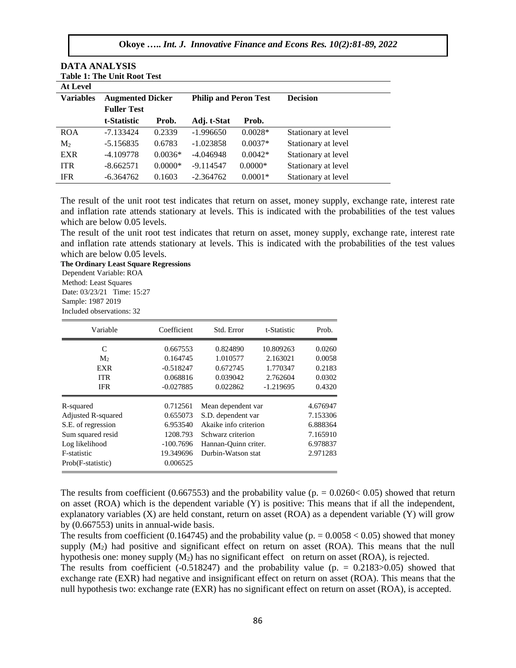| DATA ANALYSIS                      |                         |           |                              |           |                     |  |  |  |  |  |
|------------------------------------|-------------------------|-----------|------------------------------|-----------|---------------------|--|--|--|--|--|
| <b>Table 1: The Unit Root Test</b> |                         |           |                              |           |                     |  |  |  |  |  |
| <b>At Level</b>                    |                         |           |                              |           |                     |  |  |  |  |  |
| <b>Variables</b>                   | <b>Augmented Dicker</b> |           | <b>Philip and Peron Test</b> |           | <b>Decision</b>     |  |  |  |  |  |
|                                    | <b>Fuller Test</b>      |           |                              |           |                     |  |  |  |  |  |
|                                    | t-Statistic             | Prob.     | Adj. t-Stat                  | Prob.     |                     |  |  |  |  |  |
| <b>ROA</b>                         | -7.133424               | 0.2339    | $-1.996650$                  | $0.0028*$ | Stationary at level |  |  |  |  |  |
| M <sub>2</sub>                     | $-5.156835$             | 0.6783    | $-1.023858$                  | $0.0037*$ | Stationary at level |  |  |  |  |  |
| <b>EXR</b>                         | $-4.109778$             | $0.0036*$ | -4.046948                    | $0.0042*$ | Stationary at level |  |  |  |  |  |
| <b>ITR</b>                         | $-8.662571$             | $0.0000*$ | $-9.114547$                  | $0.0000*$ | Stationary at level |  |  |  |  |  |
| <b>IFR</b>                         | $-6.364762$             | 0.1603    | $-2.364762$                  | $0.0001*$ | Stationary at level |  |  |  |  |  |

IFR -6.364762 0.1603 -2.364762 0.0001\* Stationary at level

The result of the unit root test indicates that return on asset, money supply, exchange rate, interest rate and inflation rate attends stationary at levels. This is indicated with the probabilities of the test values which are below 0.05 levels.

The result of the unit root test indicates that return on asset, money supply, exchange rate, interest rate and inflation rate attends stationary at levels. This is indicated with the probabilities of the test values which are below 0.05 levels.

**The Ordinary Least Square Regressions**  Dependent Variable: ROA Method: Least Squares Date: 03/23/21 Time: 15:27 Sample: 1987 2019 Included observations: 32

**DATA ANALYSIS** 

| Variable           | Coefficient | Std. Error            | t-Statistic | Prob.    |
|--------------------|-------------|-----------------------|-------------|----------|
| C                  | 0.667553    | 0.824890              | 10.809263   | 0.0260   |
| M <sub>2</sub>     | 0.164745    | 1.010577              | 2.163021    | 0.0058   |
| <b>EXR</b>         | $-0.518247$ | 0.672745              | 1.770347    | 0.2183   |
| <b>ITR</b>         | 0.068816    | 0.039042              | 2.762604    | 0.0302   |
| <b>IFR</b>         | $-0.027885$ | 0.022862              | $-1.219695$ | 0.4320   |
| R-squared          | 0.712561    | Mean dependent var    |             | 4.676947 |
| Adjusted R-squared | 0.655073    | S.D. dependent var    |             | 7.153306 |
| S.E. of regression | 6.953540    | Akaike info criterion |             | 6.888364 |
| Sum squared resid  | 1208.793    | Schwarz criterion     |             | 7.165910 |
| Log likelihood     | $-100.7696$ | Hannan-Quinn criter.  |             | 6.978837 |
| F-statistic        | 19.349696   | Durbin-Watson stat    |             | 2.971283 |
| Prob(F-statistic)  | 0.006525    |                       |             |          |

The results from coefficient (0.667553) and the probability value ( $p = 0.0260 \lt 0.05$ ) showed that return on asset (ROA) which is the dependent variable (Y) is positive: This means that if all the independent, explanatory variables (X) are held constant, return on asset (ROA) as a dependent variable (Y) will grow by (0.667553) units in annual-wide basis.

The results from coefficient (0.164745) and the probability value ( $p = 0.0058 < 0.05$ ) showed that money supply  $(M_2)$  had positive and significant effect on return on asset  $(ROA)$ . This means that the null hypothesis one: money supply (M<sub>2</sub>) has no significant effect on return on asset (ROA), is rejected.

The results from coefficient  $(-0.518247)$  and the probability value  $(p = 0.2183 > 0.05)$  showed that exchange rate (EXR) had negative and insignificant effect on return on asset (ROA). This means that the null hypothesis two: exchange rate (EXR) has no significant effect on return on asset (ROA), is accepted.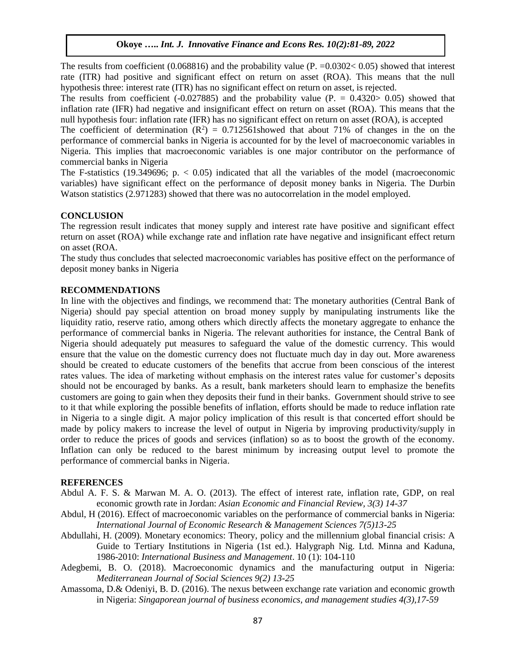The results from coefficient (0.068816) and the probability value (P.  $=0.0302 < 0.05$ ) showed that interest rate (ITR) had positive and significant effect on return on asset (ROA). This means that the null hypothesis three: interest rate (ITR) has no significant effect on return on asset, is rejected.

The results from coefficient  $(-0.027885)$  and the probability value  $(P = 0.4320 > 0.05)$  showed that inflation rate (IFR) had negative and insignificant effect on return on asset (ROA). This means that the null hypothesis four: inflation rate (IFR) has no significant effect on return on asset (ROA), is accepted

The coefficient of determination  $(R^2) = 0.712561$  showed that about 71% of changes in the on the performance of commercial banks in Nigeria is accounted for by the level of macroeconomic variables in Nigeria. This implies that macroeconomic variables is one major contributor on the performance of commercial banks in Nigeria

The F-statistics (19.349696;  $p. < 0.05$ ) indicated that all the variables of the model (macroeconomic variables) have significant effect on the performance of deposit money banks in Nigeria. The Durbin Watson statistics (2.971283) showed that there was no autocorrelation in the model employed.

# **CONCLUSION**

The regression result indicates that money supply and interest rate have positive and significant effect return on asset (ROA) while exchange rate and inflation rate have negative and insignificant effect return on asset (ROA.

The study thus concludes that selected macroeconomic variables has positive effect on the performance of deposit money banks in Nigeria

# **RECOMMENDATIONS**

In line with the objectives and findings, we recommend that: The monetary authorities (Central Bank of Nigeria) should pay special attention on broad money supply by manipulating instruments like the liquidity ratio, reserve ratio, among others which directly affects the monetary aggregate to enhance the performance of commercial banks in Nigeria. The relevant authorities for instance, the Central Bank of Nigeria should adequately put measures to safeguard the value of the domestic currency. This would ensure that the value on the domestic currency does not fluctuate much day in day out. More awareness should be created to educate customers of the benefits that accrue from been conscious of the interest rates values. The idea of marketing without emphasis on the interest rates value for customer's deposits should not be encouraged by banks. As a result, bank marketers should learn to emphasize the benefits customers are going to gain when they deposits their fund in their banks. Government should strive to see to it that while exploring the possible benefits of inflation, efforts should be made to reduce inflation rate in Nigeria to a single digit. A major policy implication of this result is that concerted effort should be made by policy makers to increase the level of output in Nigeria by improving productivity/supply in order to reduce the prices of goods and services (inflation) so as to boost the growth of the economy. Inflation can only be reduced to the barest minimum by increasing output level to promote the performance of commercial banks in Nigeria.

## **REFERENCES**

- Abdul A. F. S. & Marwan M. A. O. (2013). The effect of interest rate, inflation rate, GDP, on real economic growth rate in Jordan: *Asian Economic and Financial Review, 3(3) 14-37*
- Abdul, H (2016). Effect of macroeconomic variables on the performance of commercial banks in Nigeria: *International Journal of Economic Research & Management Sciences 7(5)13-25*
- Abdullahi, H. (2009). Monetary economics: Theory, policy and the millennium global financial crisis: A Guide to Tertiary Institutions in Nigeria (1st ed.). Halygraph Nig. Ltd. Minna and Kaduna, 1986-2010: *International Business and Management*. 10 (1): 104-110
- Adegbemi, B. O. (2018). Macroeconomic dynamics and the manufacturing output in Nigeria: *Mediterranean Journal of Social Sciences 9(2) 13-25*
- Amassoma, D.& Odeniyi, B. D. (2016). The nexus between exchange rate variation and economic growth in Nigeria: *Singaporean journal of business economics, and management studies 4(3),17-59*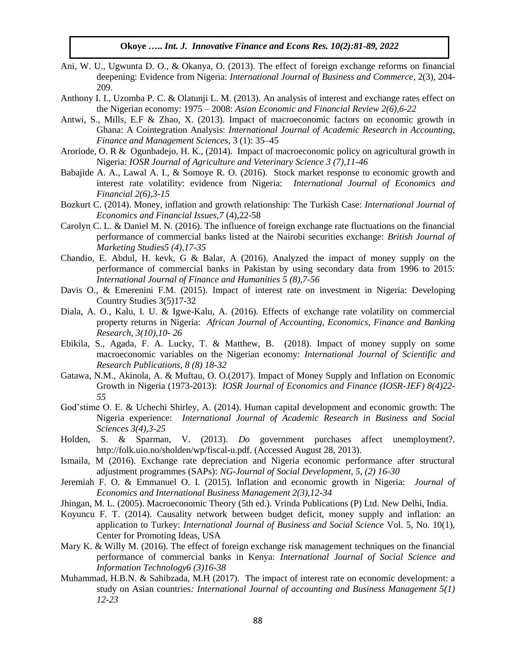- Ani, W. U., Ugwunta D. O., & Okanya, O. (2013). The effect of foreign exchange reforms on financial deepening: Evidence from Nigeria: *International Journal of Business and Commerce*, 2(3), 204- 209.
- Anthony I. I., Uzomba P. C. & Olatunji L. M. (2013). An analysis of interest and exchange rates effect on the Nigerian economy: 1975 – 2008: *Asian Economic and Financial Review 2(6),6-22*
- Antwi, S., Mills, E.F & Zhao, X. (2013). Impact of macroeconomic factors on economic growth in Ghana: A Cointegration Analysis: *International Journal of Academic Research in Accounting, Finance and Management Sciences*, 3 (1): 35–45
- Aroriode, O. R & Ogunbadejo, H. K., (2014). Impact of macroeconomic policy on agricultural growth in Nigeria: *IOSR Journal of Agriculture and Veterinary Science 3 (7),11-46*
- Babajide A. A., Lawal A. I., & Somoye R. O. (2016). Stock market response to economic growth and interest rate volatility: evidence from Nigeria: *International Journal of Economics and Financial 2(6),3-15*
- Bozkurt C. (2014). Money, inflation and growth relationship: The Turkish Case: *International Journal of Economics and Financial Issues,7* (4),22-58
- Carolyn C. L. & Daniel M. N. (2016). The influence of foreign exchange rate fluctuations on the financial performance of commercial banks listed at the Nairobi securities exchange: *British Journal of Marketing Studies5 (4),17-35*
- Chandio, E. Abdul, H. kevk, G & Balar, A (2016). Analyzed the impact of money supply on the performance of commercial banks in Pakistan by using secondary data from 1996 to 2015: *International Journal of Finance and Humanities 5 (8),7-56*
- Davis O., & Emerenini F.M. (2015). Impact of interest rate on investment in Nigeria: Developing Country Studies 3(5)17-32
- Diala, A. O., Kalu, I. U. & Igwe-Kalu, A. (2016). Effects of exchange rate volatility on commercial property returns in Nigeria: *African Journal of Accounting, Economics, Finance and Banking Research, 3(10),10- 26*
- Ebikila, S., Agada, F. A. Lucky, T. & Matthew, B. (2018). Impact of money supply on some macroeconomic variables on the Nigerian economy: *International Journal of Scientific and Research Publications, 8 (8) 18-32*
- Gatawa, N.M., Akinola, A. & Muftau, O. O.(2017). Impact of Money Supply and Inflation on Economic Growth in Nigeria (1973-2013): *IOSR Journal of Economics and Finance (IOSR-JEF) 8(4)22- 55*
- God'stime O. E. & Uchechi Shirley, A. (2014). Human capital development and economic growth: The Nigeria experience: *International Journal of Academic Research in Business and Social Sciences 3(4),3-25*
- Holden, S. & Sparman, V. (2013). *Do* government purchases affect unemployment?. http://folk.uio.no/sholden/wp/fiscal-u.pdf. (Accessed August 28, 2013).
- Ismaila, M (2016). Exchange rate depreciation and Nigeria economic performance after structural adjustment programmes (SAPs): *NG-Journal of Social Development, 5, (2) 16-30*
- Jeremiah F. O. & Emmanuel O. I. (2015). Inflation and economic growth in Nigeria: *Journal of Economics and International Business Management 2(3),12-34*
- Jhingan, M. L. (2005). Macroeconomic Theory (5th ed.). Vrinda Publications (P) Ltd. New Delhi, India.
- Koyuncu F. T. (2014). Causality network between budget deficit, money supply and inflation: an application to Turkey: *International Journal of Business and Social Science* Vol. 5, No. 10(1), Center for Promoting Ideas, USA
- Mary K. & Willy M. (2016). The effect of foreign exchange risk management techniques on the financial performance of commercial banks in Kenya: *International Journal of Social Science and Information Technology6 (3)16-38*
- Muhammad, H.B.N. & Sahibzada, M.H (2017). The impact of interest rate on economic development: a study on Asian countries*: International Journal of accounting and Business Management 5(1) 12-23*